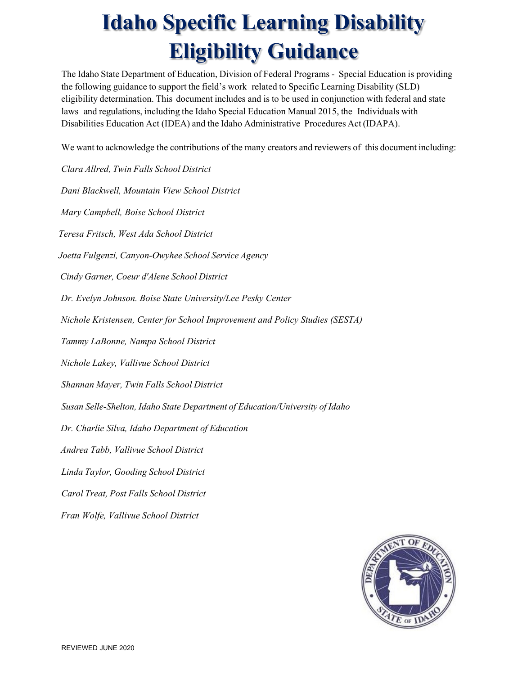## **Idaho Specific Learning Disability Eligibility Guidance**

The Idaho State Department of Education, Division of Federal Programs - Special Education is providing the following guidance to support the field's work related to Specific Learning Disability (SLD) eligibility determination. This document includes and is to be used in conjunction with federal and state laws and regulations, including the Idaho Special Education Manual 2015, the Individuals with Disabilities Education Act (IDEA) and the Idaho Administrative Procedures Act (IDAPA).

We want to acknowledge the contributions of the many creators and reviewers of this document including:

*Clara Allred, Twin Falls School District Dani Blackwell, Mountain View School District Mary Campbell, Boise School District Teresa Fritsch, West Ada School District Joetta Fulgenzi, Canyon-Owyhee School Service Agency Cindy Garner, Coeur d'Alene School District Dr. Evelyn Johnson. Boise State University/Lee Pesky Center Nichole Kristensen, Center for School Improvement and Policy Studies (SESTA) Tammy LaBonne, Nampa School District Nichole Lakey, Vallivue School District Shannan Mayer, Twin Falls School District Susan Selle-Shelton, Idaho State Department of Education/University of Idaho Dr. Charlie Silva, Idaho Department of Education Andrea Tabb, Vallivue School District Linda Taylor, Gooding School District Carol Treat, Post Falls School District Fran Wolfe, Vallivue School District*

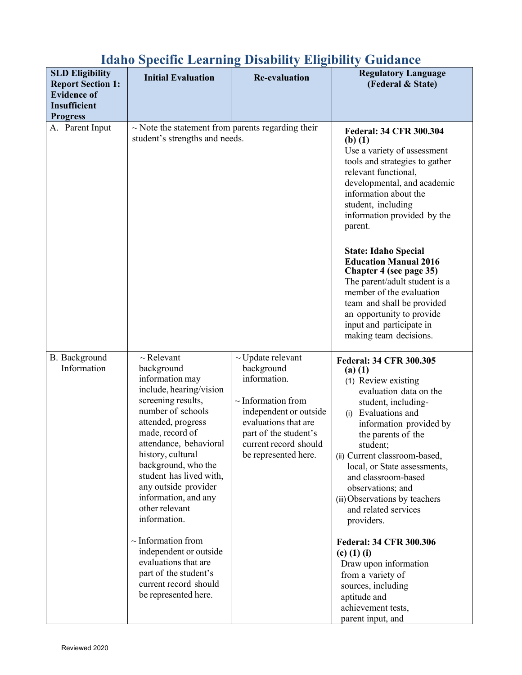| <b>SLD Eligibility</b><br><b>Report Section 1:</b> | <b>Initial Evaluation</b>                                                                                                                                                                                                                                                                                                                                                                                                                                                                                 | <b>Re-evaluation</b>                                                                                                                                                                                        | <b>Regulatory Language</b><br>(Federal & State)                                                                                                                                                                                                                                                                                                                                                                                                                                                                                                                                     |
|----------------------------------------------------|-----------------------------------------------------------------------------------------------------------------------------------------------------------------------------------------------------------------------------------------------------------------------------------------------------------------------------------------------------------------------------------------------------------------------------------------------------------------------------------------------------------|-------------------------------------------------------------------------------------------------------------------------------------------------------------------------------------------------------------|-------------------------------------------------------------------------------------------------------------------------------------------------------------------------------------------------------------------------------------------------------------------------------------------------------------------------------------------------------------------------------------------------------------------------------------------------------------------------------------------------------------------------------------------------------------------------------------|
| <b>Evidence of</b>                                 |                                                                                                                                                                                                                                                                                                                                                                                                                                                                                                           |                                                                                                                                                                                                             |                                                                                                                                                                                                                                                                                                                                                                                                                                                                                                                                                                                     |
| <b>Insufficient</b>                                |                                                                                                                                                                                                                                                                                                                                                                                                                                                                                                           |                                                                                                                                                                                                             |                                                                                                                                                                                                                                                                                                                                                                                                                                                                                                                                                                                     |
| <b>Progress</b>                                    |                                                                                                                                                                                                                                                                                                                                                                                                                                                                                                           |                                                                                                                                                                                                             |                                                                                                                                                                                                                                                                                                                                                                                                                                                                                                                                                                                     |
| A. Parent Input                                    | $\sim$ Note the statement from parents regarding their<br>student's strengths and needs.                                                                                                                                                                                                                                                                                                                                                                                                                  |                                                                                                                                                                                                             | <b>Federal: 34 CFR 300.304</b><br>$(b)$ (1)<br>Use a variety of assessment<br>tools and strategies to gather<br>relevant functional,<br>developmental, and academic<br>information about the<br>student, including<br>information provided by the<br>parent.                                                                                                                                                                                                                                                                                                                        |
|                                                    |                                                                                                                                                                                                                                                                                                                                                                                                                                                                                                           |                                                                                                                                                                                                             | <b>State: Idaho Special</b><br><b>Education Manual 2016</b><br>Chapter 4 (see page 35)<br>The parent/adult student is a<br>member of the evaluation<br>team and shall be provided<br>an opportunity to provide<br>input and participate in<br>making team decisions.                                                                                                                                                                                                                                                                                                                |
| B. Background<br>Information                       | $\sim$ Relevant<br>background<br>information may<br>include, hearing/vision<br>screening results,<br>number of schools<br>attended, progress<br>made, record of<br>attendance, behavioral<br>history, cultural<br>background, who the<br>student has lived with,<br>any outside provider<br>information, and any<br>other relevant<br>information.<br>$\sim$ Information from<br>independent or outside<br>evaluations that are<br>part of the student's<br>current record should<br>be represented here. | $\sim$ Update relevant<br>background<br>information.<br>$\sim$ Information from<br>independent or outside<br>evaluations that are<br>part of the student's<br>current record should<br>be represented here. | <b>Federal: 34 CFR 300.305</b><br>$(a)$ $(1)$<br>(1) Review existing<br>evaluation data on the<br>student, including-<br>Evaluations and<br>(i)<br>information provided by<br>the parents of the<br>student;<br>(ii) Current classroom-based,<br>local, or State assessments,<br>and classroom-based<br>observations; and<br>(iii) Observations by teachers<br>and related services<br>providers.<br><b>Federal: 34 CFR 300.306</b><br>(c) $(1)$ (i)<br>Draw upon information<br>from a variety of<br>sources, including<br>aptitude and<br>achievement tests,<br>parent input, and |

## **Idaho Specific Learning Disability Eligibility Guidance**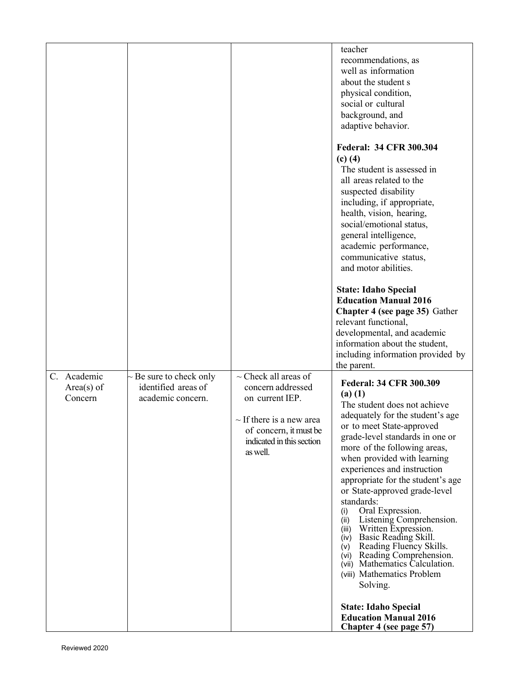| C. Academic<br>$Area(s)$ of<br>Concern | ~ Be sure to check only<br>identified areas of<br>academic concern. | $\sim$ Check all areas of<br>concern addressed<br>on current IEP.<br>$\sim$ If there is a new area<br>of concern, it must be<br>indicated in this section<br>as well. | teacher<br>recommendations, as<br>well as information<br>about the student s<br>physical condition,<br>social or cultural<br>background, and<br>adaptive behavior.<br><b>Federal: 34 CFR 300.304</b><br>$(c)$ (4)<br>The student is assessed in<br>all areas related to the<br>suspected disability<br>including, if appropriate,<br>health, vision, hearing,<br>social/emotional status,<br>general intelligence,<br>academic performance,<br>communicative status,<br>and motor abilities.<br><b>State: Idaho Special</b><br><b>Education Manual 2016</b><br>Chapter 4 (see page 35) Gather<br>relevant functional,<br>developmental, and academic<br>information about the student,<br>including information provided by<br>the parent.<br><b>Federal: 34 CFR 300.309</b><br>$(a)$ $(1)$<br>The student does not achieve<br>adequately for the student's age<br>or to meet State-approved<br>grade-level standards in one or<br>more of the following areas,<br>when provided with learning<br>experiences and instruction<br>appropriate for the student's age<br>or State-approved grade-level<br>standards:<br>Oral Expression.<br>(i)<br>Listening Comprehension.<br>(ii)<br>Written Expression.<br>(iii)<br>(iv) Basic Reading Skill.<br>(v) Reading Fluency Skills.<br>(vi) Reading Comprehension.<br>(vii) Mathematics Calculation.<br>(viii) Mathematics Problem |
|----------------------------------------|---------------------------------------------------------------------|-----------------------------------------------------------------------------------------------------------------------------------------------------------------------|-----------------------------------------------------------------------------------------------------------------------------------------------------------------------------------------------------------------------------------------------------------------------------------------------------------------------------------------------------------------------------------------------------------------------------------------------------------------------------------------------------------------------------------------------------------------------------------------------------------------------------------------------------------------------------------------------------------------------------------------------------------------------------------------------------------------------------------------------------------------------------------------------------------------------------------------------------------------------------------------------------------------------------------------------------------------------------------------------------------------------------------------------------------------------------------------------------------------------------------------------------------------------------------------------------------------------------------------------------------------------------|
|                                        |                                                                     |                                                                                                                                                                       | Solving.<br><b>State: Idaho Special</b><br><b>Education Manual 2016</b><br>Chapter 4 (see page 57)                                                                                                                                                                                                                                                                                                                                                                                                                                                                                                                                                                                                                                                                                                                                                                                                                                                                                                                                                                                                                                                                                                                                                                                                                                                                          |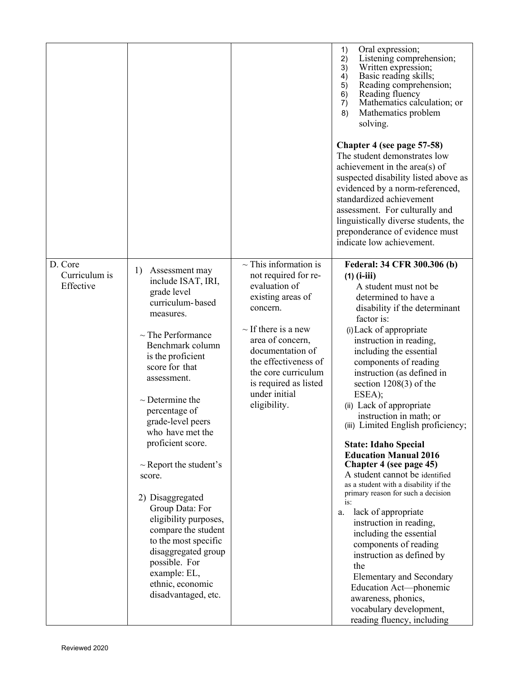|                                       |                                                                                                                                                                                                                                                                                                                                                                                                                                                                                                                                                                  |                                                                                                                                                                                                                                                                                   | 1)<br>Oral expression;<br>Listening comprehension;<br>2)<br>3)<br>Written expression;<br>Basic reading skills;<br>4)<br>5)<br>Reading comprehension;<br>Reading fluency<br>6)<br>Mathematics calculation; or<br>$\overline{7}$ )<br>Mathematics problem<br>8)<br>solving.<br>Chapter 4 (see page 57-58)<br>The student demonstrates low<br>achievement in the area(s) of<br>suspected disability listed above as<br>evidenced by a norm-referenced,<br>standardized achievement<br>assessment. For culturally and<br>linguistically diverse students, the<br>preponderance of evidence must<br>indicate low achievement.                                                                                                                                                                                                                                                                                                               |
|---------------------------------------|------------------------------------------------------------------------------------------------------------------------------------------------------------------------------------------------------------------------------------------------------------------------------------------------------------------------------------------------------------------------------------------------------------------------------------------------------------------------------------------------------------------------------------------------------------------|-----------------------------------------------------------------------------------------------------------------------------------------------------------------------------------------------------------------------------------------------------------------------------------|----------------------------------------------------------------------------------------------------------------------------------------------------------------------------------------------------------------------------------------------------------------------------------------------------------------------------------------------------------------------------------------------------------------------------------------------------------------------------------------------------------------------------------------------------------------------------------------------------------------------------------------------------------------------------------------------------------------------------------------------------------------------------------------------------------------------------------------------------------------------------------------------------------------------------------------|
| D. Core<br>Curriculum is<br>Effective | 1)<br>Assessment may<br>include ISAT, IRI,<br>grade level<br>curriculum-based<br>measures.<br>$\sim$ The Performance<br>Benchmark column<br>is the proficient<br>score for that<br>assessment.<br>$\sim$ Determine the<br>percentage of<br>grade-level peers<br>who have met the<br>proficient score.<br>$\sim$ Report the student's<br>score.<br>2) Disaggregated<br>Group Data: For<br>eligibility purposes,<br>compare the student<br>to the most specific<br>disaggregated group<br>possible. For<br>example: EL,<br>ethnic, economic<br>disadvantaged, etc. | $\sim$ This information is<br>not required for re-<br>evaluation of<br>existing areas of<br>concern.<br>$\sim$ If there is a new<br>area of concern,<br>documentation of<br>the effectiveness of<br>the core curriculum<br>is required as listed<br>under initial<br>eligibility. | Federal: 34 CFR 300.306 (b)<br>$(1)$ (i-iii)<br>A student must not be<br>determined to have a<br>disability if the determinant<br>factor is:<br>(i) Lack of appropriate<br>instruction in reading,<br>including the essential<br>components of reading<br>instruction (as defined in<br>section $1208(3)$ of the<br>ESEA);<br>(ii) Lack of appropriate<br>instruction in math; or<br>(iii) Limited English proficiency;<br><b>State: Idaho Special</b><br><b>Education Manual 2016</b><br>Chapter 4 (see page 45)<br>A student cannot be identified<br>as a student with a disability if the<br>primary reason for such a decision<br>is:<br>lack of appropriate<br>a.<br>instruction in reading,<br>including the essential<br>components of reading<br>instruction as defined by<br>the<br><b>Elementary and Secondary</b><br>Education Act-phonemic<br>awareness, phonics,<br>vocabulary development,<br>reading fluency, including |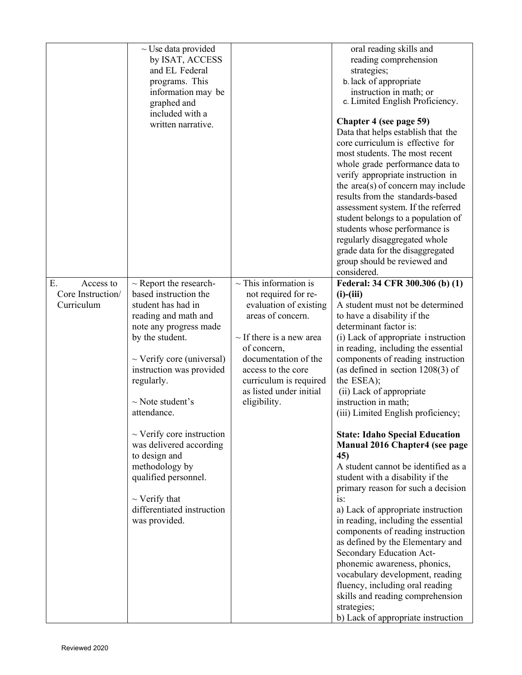|                                                    | $\sim$ Use data provided<br>by ISAT, ACCESS<br>and EL Federal<br>programs. This<br>information may be<br>graphed and<br>included with a<br>written narrative.                                                                                                                                                                                                                                                                                                    |                                                                                                                                                                                                                                                                      | oral reading skills and<br>reading comprehension<br>strategies;<br>b. lack of appropriate<br>instruction in math; or<br>c. Limited English Proficiency.<br>Chapter 4 (see page 59)<br>Data that helps establish that the<br>core curriculum is effective for<br>most students. The most recent<br>whole grade performance data to<br>verify appropriate instruction in<br>the area(s) of concern may include<br>results from the standards-based<br>assessment system. If the referred<br>student belongs to a population of<br>students whose performance is<br>regularly disaggregated whole<br>grade data for the disaggregated<br>group should be reviewed and<br>considered.                                                                                                                                                                                                                                                                                                                                   |
|----------------------------------------------------|------------------------------------------------------------------------------------------------------------------------------------------------------------------------------------------------------------------------------------------------------------------------------------------------------------------------------------------------------------------------------------------------------------------------------------------------------------------|----------------------------------------------------------------------------------------------------------------------------------------------------------------------------------------------------------------------------------------------------------------------|---------------------------------------------------------------------------------------------------------------------------------------------------------------------------------------------------------------------------------------------------------------------------------------------------------------------------------------------------------------------------------------------------------------------------------------------------------------------------------------------------------------------------------------------------------------------------------------------------------------------------------------------------------------------------------------------------------------------------------------------------------------------------------------------------------------------------------------------------------------------------------------------------------------------------------------------------------------------------------------------------------------------|
| E.<br>Access to<br>Core Instruction/<br>Curriculum | $\sim$ Report the research-<br>based instruction the<br>student has had in<br>reading and math and<br>note any progress made<br>by the student.<br>$\sim$ Verify core (universal)<br>instruction was provided<br>regularly.<br>$\sim$ Note student's<br>attendance.<br>$\sim$ Verify core instruction<br>was delivered according<br>to design and<br>methodology by<br>qualified personnel.<br>$\sim$ Verify that<br>differentiated instruction<br>was provided. | $\sim$ This information is<br>not required for re-<br>evaluation of existing<br>areas of concern.<br>$\sim$ If there is a new area<br>of concern,<br>documentation of the<br>access to the core<br>curriculum is required<br>as listed under initial<br>eligibility. | Federal: 34 CFR 300.306 (b) (1)<br>$(i)$ - $(iii)$<br>A student must not be determined<br>to have a disability if the<br>determinant factor is:<br>(i) Lack of appropriate instruction<br>in reading, including the essential<br>components of reading instruction<br>(as defined in section $1208(3)$ of<br>the ESEA);<br>(ii) Lack of appropriate<br>instruction in math;<br>(iii) Limited English proficiency;<br><b>State: Idaho Special Education</b><br><b>Manual 2016 Chapter4 (see page</b><br>45)<br>A student cannot be identified as a<br>student with a disability if the<br>primary reason for such a decision<br>is:<br>a) Lack of appropriate instruction<br>in reading, including the essential<br>components of reading instruction<br>as defined by the Elementary and<br>Secondary Education Act-<br>phonemic awareness, phonics,<br>vocabulary development, reading<br>fluency, including oral reading<br>skills and reading comprehension<br>strategies;<br>b) Lack of appropriate instruction |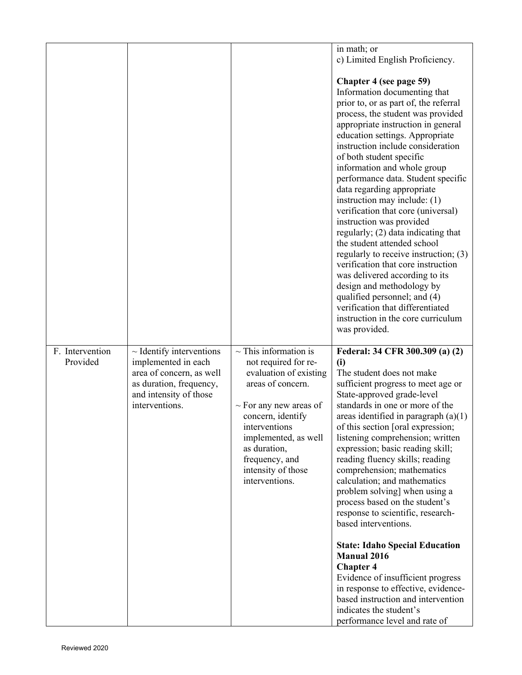|                             |                                                                                                                                                         |                                                                                                                                                                                                                                                                          | in math; or<br>c) Limited English Proficiency.<br>Chapter 4 (see page 59)<br>Information documenting that<br>prior to, or as part of, the referral<br>process, the student was provided<br>appropriate instruction in general<br>education settings. Appropriate<br>instruction include consideration<br>of both student specific<br>information and whole group<br>performance data. Student specific<br>data regarding appropriate<br>instruction may include: (1)<br>verification that core (universal)<br>instruction was provided<br>regularly; (2) data indicating that<br>the student attended school<br>regularly to receive instruction; (3)<br>verification that core instruction<br>was delivered according to its<br>design and methodology by<br>qualified personnel; and (4)<br>verification that differentiated<br>instruction in the core curriculum<br>was provided. |
|-----------------------------|---------------------------------------------------------------------------------------------------------------------------------------------------------|--------------------------------------------------------------------------------------------------------------------------------------------------------------------------------------------------------------------------------------------------------------------------|---------------------------------------------------------------------------------------------------------------------------------------------------------------------------------------------------------------------------------------------------------------------------------------------------------------------------------------------------------------------------------------------------------------------------------------------------------------------------------------------------------------------------------------------------------------------------------------------------------------------------------------------------------------------------------------------------------------------------------------------------------------------------------------------------------------------------------------------------------------------------------------|
| F. Intervention<br>Provided | $\sim$ Identify interventions<br>implemented in each<br>area of concern, as well<br>as duration, frequency,<br>and intensity of those<br>interventions. | $\sim$ This information is<br>not required for re-<br>evaluation of existing<br>areas of concern.<br>$\sim$ For any new areas of<br>concern, identify<br>interventions<br>implemented, as well<br>as duration,<br>frequency, and<br>intensity of those<br>interventions. | Federal: 34 CFR 300.309 (a) (2)<br>(i)<br>The student does not make<br>sufficient progress to meet age or<br>State-approved grade-level<br>standards in one or more of the<br>areas identified in paragraph $(a)(1)$<br>of this section [oral expression;<br>listening comprehension; written<br>expression; basic reading skill;<br>reading fluency skills; reading<br>comprehension; mathematics<br>calculation; and mathematics<br>problem solving] when using a<br>process based on the student's<br>response to scientific, research-<br>based interventions.<br><b>State: Idaho Special Education</b><br><b>Manual 2016</b><br><b>Chapter 4</b><br>Evidence of insufficient progress<br>in response to effective, evidence-<br>based instruction and intervention<br>indicates the student's<br>performance level and rate of                                                   |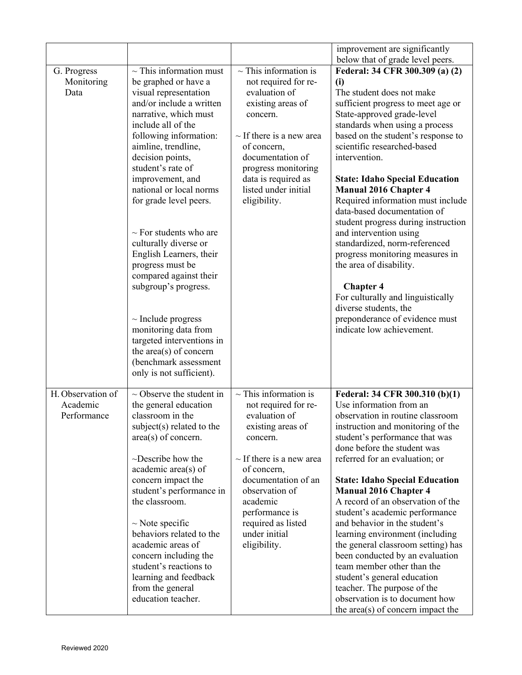|                                              |                                                                                                                                                                                                                                                                                                                                                                                                                                                                                                                                                                                                                                                       |                                                                                                                                                                                                                                                                                    | improvement are significantly                                                                                                                                                                                                                                                                                                                                                                                                                                                                                                                                                                                                                                                                                                                                     |
|----------------------------------------------|-------------------------------------------------------------------------------------------------------------------------------------------------------------------------------------------------------------------------------------------------------------------------------------------------------------------------------------------------------------------------------------------------------------------------------------------------------------------------------------------------------------------------------------------------------------------------------------------------------------------------------------------------------|------------------------------------------------------------------------------------------------------------------------------------------------------------------------------------------------------------------------------------------------------------------------------------|-------------------------------------------------------------------------------------------------------------------------------------------------------------------------------------------------------------------------------------------------------------------------------------------------------------------------------------------------------------------------------------------------------------------------------------------------------------------------------------------------------------------------------------------------------------------------------------------------------------------------------------------------------------------------------------------------------------------------------------------------------------------|
| G. Progress<br>Monitoring<br>Data            | $\sim$ This information must<br>be graphed or have a<br>visual representation<br>and/or include a written<br>narrative, which must<br>include all of the<br>following information:<br>aimline, trendline,<br>decision points,<br>student's rate of<br>improvement, and<br>national or local norms<br>for grade level peers.<br>$\sim$ For students who are<br>culturally diverse or<br>English Learners, their<br>progress must be<br>compared against their<br>subgroup's progress.<br>$\sim$ Include progress<br>monitoring data from<br>targeted interventions in<br>the $area(s)$ of concern<br>(benchmark assessment<br>only is not sufficient). | $\sim$ This information is<br>not required for re-<br>evaluation of<br>existing areas of<br>concern.<br>$\sim$ If there is a new area<br>of concern,<br>documentation of<br>progress monitoring<br>data is required as<br>listed under initial<br>eligibility.                     | below that of grade level peers.<br>Federal: 34 CFR 300.309 (a) (2)<br>(i)<br>The student does not make<br>sufficient progress to meet age or<br>State-approved grade-level<br>standards when using a process<br>based on the student's response to<br>scientific researched-based<br>intervention.<br><b>State: Idaho Special Education</b><br><b>Manual 2016 Chapter 4</b><br>Required information must include<br>data-based documentation of<br>student progress during instruction<br>and intervention using<br>standardized, norm-referenced<br>progress monitoring measures in<br>the area of disability.<br><b>Chapter 4</b><br>For culturally and linguistically<br>diverse students, the<br>preponderance of evidence must<br>indicate low achievement. |
| H. Observation of<br>Academic<br>Performance | $\sim$ Observe the student in<br>the general education<br>classroom in the<br>subject(s) related to the<br>$area(s)$ of concern.<br>$\sim$ Describe how the<br>academic area(s) of<br>concern impact the<br>student's performance in<br>the classroom.<br>$\sim$ Note specific<br>behaviors related to the<br>academic areas of<br>concern including the<br>student's reactions to<br>learning and feedback<br>from the general<br>education teacher.                                                                                                                                                                                                 | $\sim$ This information is<br>not required for re-<br>evaluation of<br>existing areas of<br>concern.<br>$\sim$ If there is a new area<br>of concern,<br>documentation of an<br>observation of<br>academic<br>performance is<br>required as listed<br>under initial<br>eligibility. | Federal: 34 CFR 300.310 (b)(1)<br>Use information from an<br>observation in routine classroom<br>instruction and monitoring of the<br>student's performance that was<br>done before the student was<br>referred for an evaluation; or<br><b>State: Idaho Special Education</b><br><b>Manual 2016 Chapter 4</b><br>A record of an observation of the<br>student's academic performance<br>and behavior in the student's<br>learning environment (including<br>the general classroom setting) has<br>been conducted by an evaluation<br>team member other than the<br>student's general education<br>teacher. The purpose of the<br>observation is to document how<br>the area(s) of concern impact the                                                             |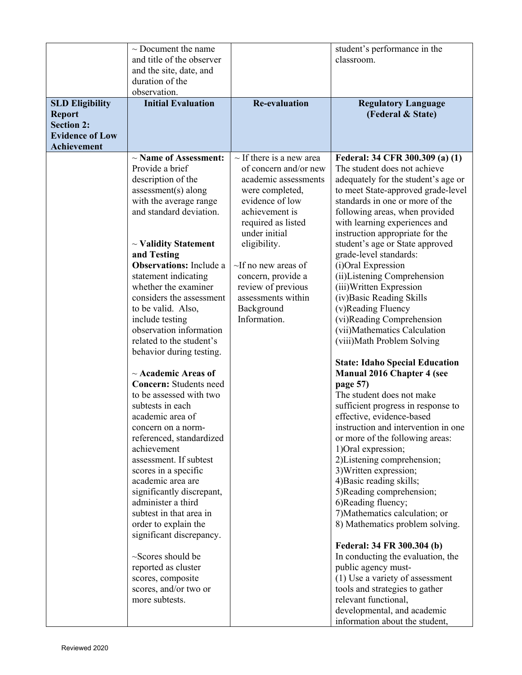|                        | $\sim$ Document the name                       |                               | student's performance in the                           |
|------------------------|------------------------------------------------|-------------------------------|--------------------------------------------------------|
|                        | and title of the observer                      |                               | classroom.                                             |
|                        | and the site, date, and                        |                               |                                                        |
|                        | duration of the                                |                               |                                                        |
|                        | observation.                                   |                               |                                                        |
| <b>SLD Eligibility</b> | <b>Initial Evaluation</b>                      | <b>Re-evaluation</b>          | <b>Regulatory Language</b>                             |
| <b>Report</b>          |                                                |                               | (Federal & State)                                      |
| <b>Section 2:</b>      |                                                |                               |                                                        |
| <b>Evidence of Low</b> |                                                |                               |                                                        |
| <b>Achievement</b>     |                                                |                               |                                                        |
|                        | $\sim$ Name of Assessment:                     | $\sim$ If there is a new area | Federal: 34 CFR 300.309 (a) (1)                        |
|                        | Provide a brief                                | of concern and/or new         | The student does not achieve                           |
|                        | description of the                             | academic assessments          | adequately for the student's age or                    |
|                        | $assessment(s)$ along                          | were completed,               | to meet State-approved grade-level                     |
|                        | with the average range                         | evidence of low               | standards in one or more of the                        |
|                        | and standard deviation.                        | achievement is                | following areas, when provided                         |
|                        |                                                | required as listed            | with learning experiences and                          |
|                        |                                                | under initial                 | instruction appropriate for the                        |
|                        | $\sim$ Validity Statement                      | eligibility.                  | student's age or State approved                        |
|                        | and Testing                                    |                               | grade-level standards:                                 |
|                        | <b>Observations:</b> Include a                 | $\sim$ If no new areas of     | (i)Oral Expression                                     |
|                        | statement indicating                           | concern, provide a            | (ii) Listening Comprehension                           |
|                        | whether the examiner                           | review of previous            | (iii) Written Expression                               |
|                        | considers the assessment                       | assessments within            | (iv) Basic Reading Skills                              |
|                        | to be valid. Also,                             | Background                    | (v)Reading Fluency                                     |
|                        | include testing                                | Information.                  | (vi)Reading Comprehension                              |
|                        | observation information                        |                               | (vii)Mathematics Calculation                           |
|                        | related to the student's                       |                               | (viii) Math Problem Solving                            |
|                        | behavior during testing.                       |                               |                                                        |
|                        |                                                |                               | <b>State: Idaho Special Education</b>                  |
|                        | $\sim$ Academic Areas of                       |                               | <b>Manual 2016 Chapter 4 (see</b>                      |
|                        | <b>Concern:</b> Students need                  |                               | page 57)                                               |
|                        | to be assessed with two                        |                               | The student does not make                              |
|                        | subtests in each                               |                               | sufficient progress in response to                     |
|                        | academic area of                               |                               | effective, evidence-based                              |
|                        | concern on a norm-<br>referenced, standardized |                               | instruction and intervention in one                    |
|                        | achievement                                    |                               | or more of the following areas:<br>1) Oral expression; |
|                        | assessment. If subtest                         |                               | 2) Listening comprehension;                            |
|                        | scores in a specific                           |                               | 3) Written expression;                                 |
|                        | academic area are                              |                               | 4) Basic reading skills;                               |
|                        | significantly discrepant,                      |                               | 5)Reading comprehension;                               |
|                        | administer a third                             |                               | 6)Reading fluency;                                     |
|                        | subtest in that area in                        |                               | 7) Mathematics calculation; or                         |
|                        | order to explain the                           |                               | 8) Mathematics problem solving.                        |
|                        | significant discrepancy.                       |                               |                                                        |
|                        |                                                |                               | Federal: 34 FR 300.304 (b)                             |
|                        | ~Scores should be                              |                               | In conducting the evaluation, the                      |
|                        | reported as cluster                            |                               | public agency must-                                    |
|                        | scores, composite                              |                               | (1) Use a variety of assessment                        |
|                        | scores, and/or two or                          |                               | tools and strategies to gather                         |
|                        | more subtests.                                 |                               | relevant functional,                                   |
|                        |                                                |                               | developmental, and academic                            |
|                        |                                                |                               | information about the student,                         |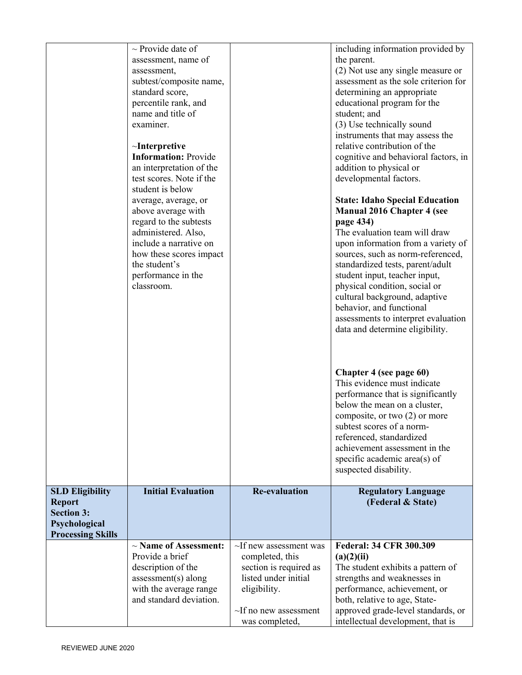|                                                                                                           | $\sim$ Provide date of<br>assessment, name of<br>assessment,<br>subtest/composite name,<br>standard score,<br>percentile rank, and<br>name and title of<br>examiner.<br>$\sim$ Interpretive<br><b>Information: Provide</b><br>an interpretation of the<br>test scores. Note if the<br>student is below<br>average, average, or<br>above average with |                                                                                                                                                                    | including information provided by<br>the parent.<br>(2) Not use any single measure or<br>assessment as the sole criterion for<br>determining an appropriate<br>educational program for the<br>student; and<br>(3) Use technically sound<br>instruments that may assess the<br>relative contribution of the<br>cognitive and behavioral factors, in<br>addition to physical or<br>developmental factors.<br><b>State: Idaho Special Education</b><br><b>Manual 2016 Chapter 4 (see</b> |
|-----------------------------------------------------------------------------------------------------------|------------------------------------------------------------------------------------------------------------------------------------------------------------------------------------------------------------------------------------------------------------------------------------------------------------------------------------------------------|--------------------------------------------------------------------------------------------------------------------------------------------------------------------|---------------------------------------------------------------------------------------------------------------------------------------------------------------------------------------------------------------------------------------------------------------------------------------------------------------------------------------------------------------------------------------------------------------------------------------------------------------------------------------|
|                                                                                                           | regard to the subtests<br>administered. Also,<br>include a narrative on<br>how these scores impact<br>the student's<br>performance in the<br>classroom.                                                                                                                                                                                              |                                                                                                                                                                    | page 434)<br>The evaluation team will draw<br>upon information from a variety of<br>sources, such as norm-referenced,<br>standardized tests, parent/adult<br>student input, teacher input,<br>physical condition, social or<br>cultural background, adaptive<br>behavior, and functional<br>assessments to interpret evaluation<br>data and determine eligibility.                                                                                                                    |
|                                                                                                           |                                                                                                                                                                                                                                                                                                                                                      |                                                                                                                                                                    | Chapter 4 (see page 60)<br>This evidence must indicate<br>performance that is significantly<br>below the mean on a cluster,<br>composite, or two (2) or more<br>subtest scores of a norm-<br>referenced, standardized<br>achievement assessment in the<br>specific academic area(s) of<br>suspected disability.                                                                                                                                                                       |
| <b>SLD Eligibility</b><br><b>Report</b><br><b>Section 3:</b><br>Psychological<br><b>Processing Skills</b> | <b>Initial Evaluation</b>                                                                                                                                                                                                                                                                                                                            | <b>Re-evaluation</b>                                                                                                                                               | <b>Regulatory Language</b><br>(Federal & State)                                                                                                                                                                                                                                                                                                                                                                                                                                       |
|                                                                                                           | $\sim$ Name of Assessment:<br>Provide a brief<br>description of the<br>$assessment(s)$ along<br>with the average range<br>and standard deviation.                                                                                                                                                                                                    | $\sim$ If new assessment was<br>completed, this<br>section is required as<br>listed under initial<br>eligibility.<br>$\sim$ If no new assessment<br>was completed, | <b>Federal: 34 CFR 300.309</b><br>(a)(2)(ii)<br>The student exhibits a pattern of<br>strengths and weaknesses in<br>performance, achievement, or<br>both, relative to age, State-<br>approved grade-level standards, or<br>intellectual development, that is                                                                                                                                                                                                                          |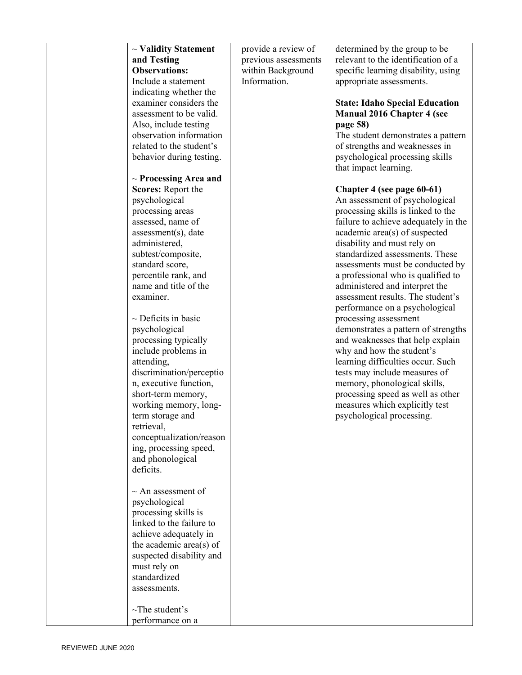| $\sim$ Validity Statement                        | provide a review of  | determined by the group to be         |
|--------------------------------------------------|----------------------|---------------------------------------|
| and Testing                                      | previous assessments | relevant to the identification of a   |
| <b>Observations:</b>                             | within Background    | specific learning disability, using   |
| Include a statement                              | Information.         | appropriate assessments.              |
| indicating whether the                           |                      |                                       |
| examiner considers the                           |                      | <b>State: Idaho Special Education</b> |
| assessment to be valid.                          |                      | <b>Manual 2016 Chapter 4 (see</b>     |
| Also, include testing                            |                      | page 58)                              |
| observation information                          |                      | The student demonstrates a pattern    |
| related to the student's                         |                      | of strengths and weaknesses in        |
| behavior during testing.                         |                      | psychological processing skills       |
|                                                  |                      | that impact learning.                 |
| $\sim$ Processing Area and                       |                      |                                       |
| Scores: Report the                               |                      | Chapter 4 (see page 60-61)            |
| psychological                                    |                      | An assessment of psychological        |
| processing areas                                 |                      | processing skills is linked to the    |
| assessed, name of                                |                      | failure to achieve adequately in the  |
| assessment(s), date                              |                      | academic area(s) of suspected         |
| administered,                                    |                      | disability and must rely on           |
| subtest/composite,                               |                      | standardized assessments. These       |
| standard score,                                  |                      | assessments must be conducted by      |
| percentile rank, and                             |                      | a professional who is qualified to    |
| name and title of the                            |                      | administered and interpret the        |
| examiner.                                        |                      | assessment results. The student's     |
|                                                  |                      | performance on a psychological        |
| $\sim$ Deficits in basic                         |                      | processing assessment                 |
| psychological                                    |                      | demonstrates a pattern of strengths   |
| processing typically                             |                      | and weaknesses that help explain      |
| include problems in                              |                      | why and how the student's             |
| attending,                                       |                      | learning difficulties occur. Such     |
| discrimination/perceptio                         |                      | tests may include measures of         |
| n, executive function,                           |                      | memory, phonological skills,          |
| short-term memory,                               |                      | processing speed as well as other     |
| working memory, long-                            |                      | measures which explicitly test        |
| term storage and                                 |                      | psychological processing.             |
| retrieval,                                       |                      |                                       |
| conceptualization/reason                         |                      |                                       |
| ing, processing speed,                           |                      |                                       |
| and phonological                                 |                      |                                       |
| deficits.                                        |                      |                                       |
| $\sim$ An assessment of                          |                      |                                       |
|                                                  |                      |                                       |
| psychological                                    |                      |                                       |
| processing skills is<br>linked to the failure to |                      |                                       |
| achieve adequately in                            |                      |                                       |
| the academic area(s) of                          |                      |                                       |
| suspected disability and                         |                      |                                       |
| must rely on                                     |                      |                                       |
| standardized                                     |                      |                                       |
| assessments.                                     |                      |                                       |
|                                                  |                      |                                       |
| $\sim$ The student's                             |                      |                                       |
| performance on a                                 |                      |                                       |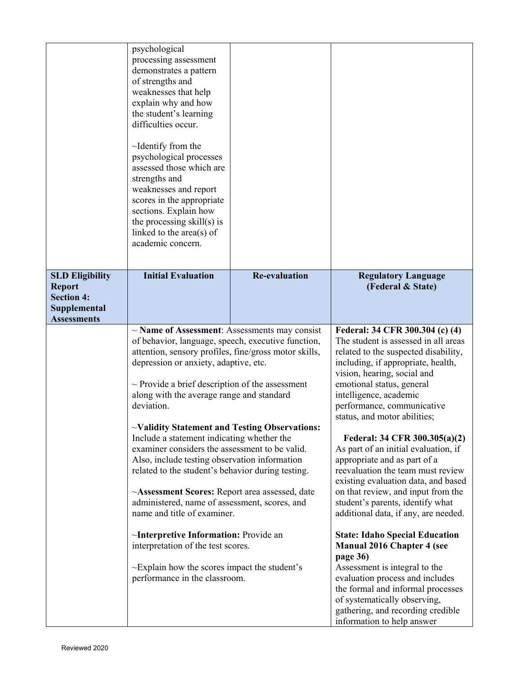|                                    | psychological<br>processing assessment<br>demonstrates a pattern<br>of strengths and<br>weaknesses that help<br>explain why and how<br>the student's learning<br>difficulties occur.<br>$\sim$ Identify from the<br>psychological processes<br>assessed those which are<br>strengths and<br>weaknesses and report<br>scores in the appropriate<br>sections. Explain how<br>the processing skill(s) is<br>linked to the $area(s)$ of<br>academic concern. |                      |                                                                          |
|------------------------------------|----------------------------------------------------------------------------------------------------------------------------------------------------------------------------------------------------------------------------------------------------------------------------------------------------------------------------------------------------------------------------------------------------------------------------------------------------------|----------------------|--------------------------------------------------------------------------|
| <b>SLD Eligibility</b>             | <b>Initial Evaluation</b>                                                                                                                                                                                                                                                                                                                                                                                                                                | <b>Re-evaluation</b> | <b>Regulatory Language</b>                                               |
| <b>Report</b><br><b>Section 4:</b> |                                                                                                                                                                                                                                                                                                                                                                                                                                                          |                      | (Federal & State)                                                        |
| <b>Supplemental</b>                |                                                                                                                                                                                                                                                                                                                                                                                                                                                          |                      |                                                                          |
| <b>Assessments</b>                 |                                                                                                                                                                                                                                                                                                                                                                                                                                                          |                      |                                                                          |
|                                    | $\sim$ Name of Assessment: Assessments may consist<br>of behavior, language, speech, executive function,                                                                                                                                                                                                                                                                                                                                                 |                      | Federal: 34 CFR 300.304 (c) (4)<br>The student is assessed in all areas  |
|                                    | attention, sensory profiles, fine/gross motor skills,                                                                                                                                                                                                                                                                                                                                                                                                    |                      | related to the suspected disability,                                     |
|                                    | depression or anxiety, adaptive, etc.                                                                                                                                                                                                                                                                                                                                                                                                                    |                      | including, if appropriate, health,                                       |
|                                    | $\sim$ Provide a brief description of the assessment                                                                                                                                                                                                                                                                                                                                                                                                     |                      | vision, hearing, social and<br>emotional status, general                 |
|                                    | along with the average range and standard                                                                                                                                                                                                                                                                                                                                                                                                                |                      | intelligence, academic                                                   |
|                                    | deviation.                                                                                                                                                                                                                                                                                                                                                                                                                                               |                      | performance, communicative                                               |
|                                    |                                                                                                                                                                                                                                                                                                                                                                                                                                                          |                      | status, and motor abilities;                                             |
|                                    | ~Validity Statement and Testing Observations:<br>Include a statement indicating whether the                                                                                                                                                                                                                                                                                                                                                              |                      | Federal: 34 CFR 300.305(a)(2)                                            |
|                                    | examiner considers the assessment to be valid.                                                                                                                                                                                                                                                                                                                                                                                                           |                      | As part of an initial evaluation, if                                     |
|                                    | Also, include testing observation information                                                                                                                                                                                                                                                                                                                                                                                                            |                      | appropriate and as part of a                                             |
|                                    | related to the student's behavior during testing.                                                                                                                                                                                                                                                                                                                                                                                                        |                      | reevaluation the team must review<br>existing evaluation data, and based |
|                                    | ~Assessment Scores: Report area assessed, date                                                                                                                                                                                                                                                                                                                                                                                                           |                      | on that review, and input from the                                       |
|                                    | administered, name of assessment, scores, and                                                                                                                                                                                                                                                                                                                                                                                                            |                      | student's parents, identify what                                         |
|                                    | name and title of examiner.                                                                                                                                                                                                                                                                                                                                                                                                                              |                      | additional data, if any, are needed.                                     |
|                                    | $\sim$ Interpretive Information: Provide an                                                                                                                                                                                                                                                                                                                                                                                                              |                      | <b>State: Idaho Special Education</b>                                    |
|                                    | interpretation of the test scores.                                                                                                                                                                                                                                                                                                                                                                                                                       |                      | <b>Manual 2016 Chapter 4 (see</b>                                        |
|                                    | $\sim$ Explain how the scores impact the student's                                                                                                                                                                                                                                                                                                                                                                                                       |                      | page 36)<br>Assessment is integral to the                                |
|                                    | performance in the classroom.                                                                                                                                                                                                                                                                                                                                                                                                                            |                      | evaluation process and includes                                          |
|                                    |                                                                                                                                                                                                                                                                                                                                                                                                                                                          |                      | the formal and informal processes                                        |
|                                    |                                                                                                                                                                                                                                                                                                                                                                                                                                                          |                      |                                                                          |
|                                    |                                                                                                                                                                                                                                                                                                                                                                                                                                                          |                      | of systematically observing,<br>gathering, and recording credible        |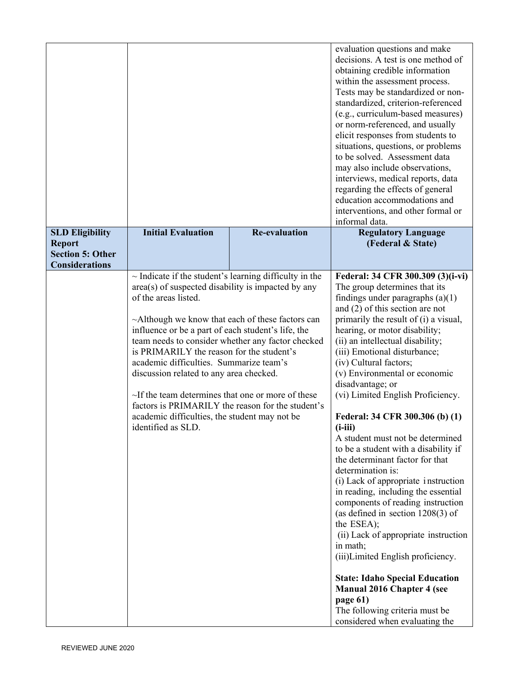|                                                                   |                                                                                                                                                                                                                                                                                                                                                                                                                                                                                                                                                                                                                                    |                      | evaluation questions and make<br>decisions. A test is one method of<br>obtaining credible information<br>within the assessment process.<br>Tests may be standardized or non-<br>standardized, criterion-referenced<br>(e.g., curriculum-based measures)<br>or norm-referenced, and usually<br>elicit responses from students to<br>situations, questions, or problems<br>to be solved. Assessment data<br>may also include observations,<br>interviews, medical reports, data<br>regarding the effects of general<br>education accommodations and<br>interventions, and other formal or<br>informal data.                                                                                                                                                                                                                                                                                                                                                                                                                          |
|-------------------------------------------------------------------|------------------------------------------------------------------------------------------------------------------------------------------------------------------------------------------------------------------------------------------------------------------------------------------------------------------------------------------------------------------------------------------------------------------------------------------------------------------------------------------------------------------------------------------------------------------------------------------------------------------------------------|----------------------|------------------------------------------------------------------------------------------------------------------------------------------------------------------------------------------------------------------------------------------------------------------------------------------------------------------------------------------------------------------------------------------------------------------------------------------------------------------------------------------------------------------------------------------------------------------------------------------------------------------------------------------------------------------------------------------------------------------------------------------------------------------------------------------------------------------------------------------------------------------------------------------------------------------------------------------------------------------------------------------------------------------------------------|
| <b>SLD Eligibility</b>                                            | <b>Initial Evaluation</b>                                                                                                                                                                                                                                                                                                                                                                                                                                                                                                                                                                                                          | <b>Re-evaluation</b> | <b>Regulatory Language</b>                                                                                                                                                                                                                                                                                                                                                                                                                                                                                                                                                                                                                                                                                                                                                                                                                                                                                                                                                                                                         |
| <b>Report</b><br><b>Section 5: Other</b><br><b>Considerations</b> |                                                                                                                                                                                                                                                                                                                                                                                                                                                                                                                                                                                                                                    |                      | (Federal & State)                                                                                                                                                                                                                                                                                                                                                                                                                                                                                                                                                                                                                                                                                                                                                                                                                                                                                                                                                                                                                  |
|                                                                   | $\sim$ Indicate if the student's learning difficulty in the<br>area(s) of suspected disability is impacted by any<br>of the areas listed.<br>$\sim$ Although we know that each of these factors can<br>influence or be a part of each student's life, the<br>team needs to consider whether any factor checked<br>is PRIMARILY the reason for the student's<br>academic difficulties. Summarize team's<br>discussion related to any area checked.<br>~If the team determines that one or more of these<br>factors is PRIMARILY the reason for the student's<br>academic difficulties, the student may not be<br>identified as SLD. |                      | Federal: 34 CFR 300.309 (3)(i-vi)<br>The group determines that its<br>findings under paragraphs $(a)(1)$<br>and $(2)$ of this section are not<br>primarily the result of (i) a visual,<br>hearing, or motor disability;<br>(ii) an intellectual disability;<br>(iii) Emotional disturbance;<br>(iv) Cultural factors;<br>(v) Environmental or economic<br>disadvantage; or<br>(vi) Limited English Proficiency.<br>Federal: 34 CFR 300.306 (b) (1)<br>$(i-iii)$<br>A student must not be determined<br>to be a student with a disability if<br>the determinant factor for that<br>determination is:<br>(i) Lack of appropriate instruction<br>in reading, including the essential<br>components of reading instruction<br>(as defined in section $1208(3)$ of<br>the ESEA);<br>(ii) Lack of appropriate instruction<br>in math;<br>(iii)Limited English proficiency.<br><b>State: Idaho Special Education</b><br><b>Manual 2016 Chapter 4 (see</b><br>page 61)<br>The following criteria must be<br>considered when evaluating the |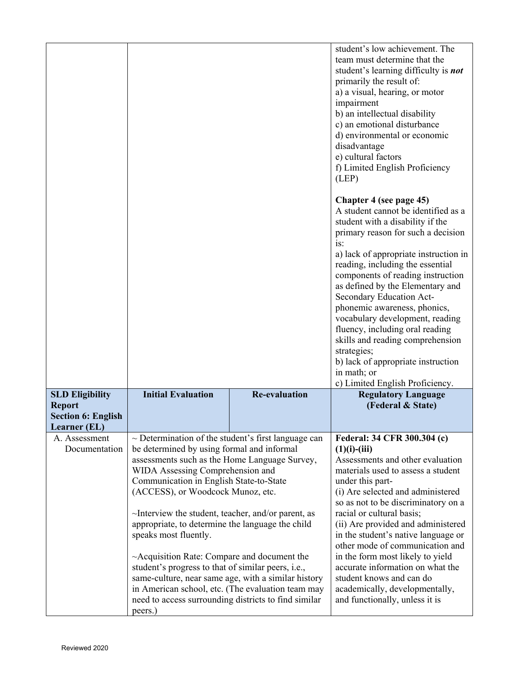|                                            |                                                                                                                                                                                                                                                                                                                                                                                                                                                                                                                                                                                                                                                                                                                |                      | student's low achievement. The<br>team must determine that the<br>student's learning difficulty is <b>not</b><br>primarily the result of:<br>a) a visual, hearing, or motor<br>impairment<br>b) an intellectual disability<br>c) an emotional disturbance<br>d) environmental or economic<br>disadvantage<br>e) cultural factors<br>f) Limited English Proficiency<br>(LEP)<br>Chapter 4 (see page 45)<br>A student cannot be identified as a<br>student with a disability if the<br>primary reason for such a decision<br>is:<br>a) lack of appropriate instruction in<br>reading, including the essential<br>components of reading instruction<br>as defined by the Elementary and<br>Secondary Education Act-<br>phonemic awareness, phonics,<br>vocabulary development, reading<br>fluency, including oral reading<br>skills and reading comprehension<br>strategies;<br>b) lack of appropriate instruction<br>in math; or |
|--------------------------------------------|----------------------------------------------------------------------------------------------------------------------------------------------------------------------------------------------------------------------------------------------------------------------------------------------------------------------------------------------------------------------------------------------------------------------------------------------------------------------------------------------------------------------------------------------------------------------------------------------------------------------------------------------------------------------------------------------------------------|----------------------|--------------------------------------------------------------------------------------------------------------------------------------------------------------------------------------------------------------------------------------------------------------------------------------------------------------------------------------------------------------------------------------------------------------------------------------------------------------------------------------------------------------------------------------------------------------------------------------------------------------------------------------------------------------------------------------------------------------------------------------------------------------------------------------------------------------------------------------------------------------------------------------------------------------------------------|
| <b>SLD Eligibility</b>                     | <b>Initial Evaluation</b>                                                                                                                                                                                                                                                                                                                                                                                                                                                                                                                                                                                                                                                                                      | <b>Re-evaluation</b> | c) Limited English Proficiency.<br><b>Regulatory Language</b>                                                                                                                                                                                                                                                                                                                                                                                                                                                                                                                                                                                                                                                                                                                                                                                                                                                                  |
| <b>Report</b><br><b>Section 6: English</b> |                                                                                                                                                                                                                                                                                                                                                                                                                                                                                                                                                                                                                                                                                                                |                      | (Federal & State)                                                                                                                                                                                                                                                                                                                                                                                                                                                                                                                                                                                                                                                                                                                                                                                                                                                                                                              |
| <b>Learner</b> (EL)                        |                                                                                                                                                                                                                                                                                                                                                                                                                                                                                                                                                                                                                                                                                                                |                      |                                                                                                                                                                                                                                                                                                                                                                                                                                                                                                                                                                                                                                                                                                                                                                                                                                                                                                                                |
| A. Assessment<br>Documentation             | $\sim$ Determination of the student's first language can<br>be determined by using formal and informal<br>assessments such as the Home Language Survey,<br>WIDA Assessing Comprehension and<br>Communication in English State-to-State<br>(ACCESS), or Woodcock Munoz, etc.<br>$\sim$ Interview the student, teacher, and/or parent, as<br>appropriate, to determine the language the child<br>speaks most fluently.<br>$\sim$ Acquisition Rate: Compare and document the<br>student's progress to that of similar peers, i.e.,<br>same-culture, near same age, with a similar history<br>in American school, etc. (The evaluation team may<br>need to access surrounding districts to find similar<br>peers.) |                      | Federal: 34 CFR 300.304 (c)<br>$(1)(i)$ - $(iii)$<br>Assessments and other evaluation<br>materials used to assess a student<br>under this part-<br>(i) Are selected and administered<br>so as not to be discriminatory on a<br>racial or cultural basis;<br>(ii) Are provided and administered<br>in the student's native language or<br>other mode of communication and<br>in the form most likely to yield<br>accurate information on what the<br>student knows and can do<br>academically, developmentally,<br>and functionally, unless it is                                                                                                                                                                                                                                                                                                                                                                               |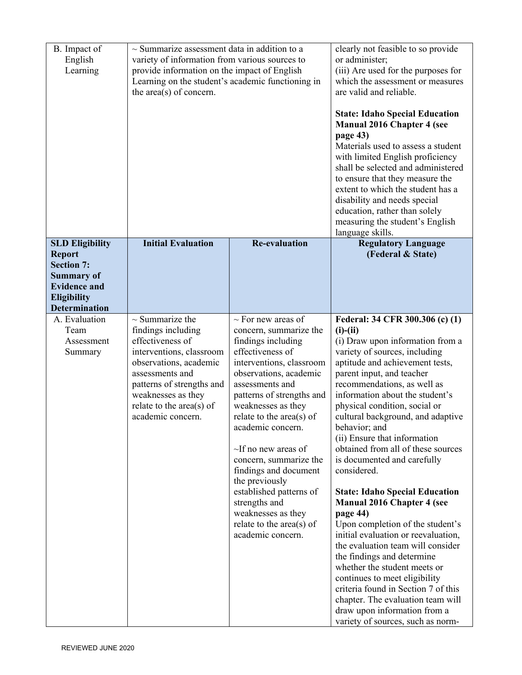| B. Impact of<br>English<br>Learning                                                                                                                    | $\sim$ Summarize assessment data in addition to a<br>variety of information from various sources to<br>provide information on the impact of English<br>Learning on the student's academic functioning in<br>the area(s) of concern.           |                                                                                                                                                                                                                                                                                                                                                                                                                                                                                               | clearly not feasible to so provide<br>or administer;<br>(iii) Are used for the purposes for<br>which the assessment or measures<br>are valid and reliable.<br><b>State: Idaho Special Education</b><br><b>Manual 2016 Chapter 4 (see</b><br>page 43)<br>Materials used to assess a student<br>with limited English proficiency<br>shall be selected and administered<br>to ensure that they measure the<br>extent to which the student has a<br>disability and needs special<br>education, rather than solely<br>measuring the student's English<br>language skills.                                                                                                                                                                                                                                                                                                                                                      |
|--------------------------------------------------------------------------------------------------------------------------------------------------------|-----------------------------------------------------------------------------------------------------------------------------------------------------------------------------------------------------------------------------------------------|-----------------------------------------------------------------------------------------------------------------------------------------------------------------------------------------------------------------------------------------------------------------------------------------------------------------------------------------------------------------------------------------------------------------------------------------------------------------------------------------------|---------------------------------------------------------------------------------------------------------------------------------------------------------------------------------------------------------------------------------------------------------------------------------------------------------------------------------------------------------------------------------------------------------------------------------------------------------------------------------------------------------------------------------------------------------------------------------------------------------------------------------------------------------------------------------------------------------------------------------------------------------------------------------------------------------------------------------------------------------------------------------------------------------------------------|
| <b>SLD Eligibility</b><br><b>Report</b><br><b>Section 7:</b><br><b>Summary of</b><br><b>Evidence and</b><br><b>Eligibility</b><br><b>Determination</b> | <b>Initial Evaluation</b>                                                                                                                                                                                                                     | <b>Re-evaluation</b>                                                                                                                                                                                                                                                                                                                                                                                                                                                                          | <b>Regulatory Language</b><br>(Federal & State)                                                                                                                                                                                                                                                                                                                                                                                                                                                                                                                                                                                                                                                                                                                                                                                                                                                                           |
| A. Evaluation<br>Team<br>Assessment<br>Summary                                                                                                         | $\sim$ Summarize the<br>findings including<br>effectiveness of<br>interventions, classroom<br>observations, academic<br>assessments and<br>patterns of strengths and<br>weaknesses as they<br>relate to the $area(s)$ of<br>academic concern. | $\sim$ For new areas of<br>concern, summarize the<br>findings including<br>effectiveness of<br>interventions, classroom<br>observations, academic<br>assessments and<br>patterns of strengths and<br>weaknesses as they<br>relate to the area(s) of<br>academic concern.<br>$\sim$ If no new areas of<br>concern, summarize the<br>findings and document<br>the previously<br>established patterns of<br>strengths and<br>weaknesses as they<br>relate to the area(s) of<br>academic concern. | Federal: 34 CFR 300.306 (c) (1)<br>$(i)-(ii)$<br>(i) Draw upon information from a<br>variety of sources, including<br>aptitude and achievement tests,<br>parent input, and teacher<br>recommendations, as well as<br>information about the student's<br>physical condition, social or<br>cultural background, and adaptive<br>behavior; and<br>(ii) Ensure that information<br>obtained from all of these sources<br>is documented and carefully<br>considered.<br><b>State: Idaho Special Education</b><br><b>Manual 2016 Chapter 4 (see</b><br>page 44)<br>Upon completion of the student's<br>initial evaluation or reevaluation,<br>the evaluation team will consider<br>the findings and determine<br>whether the student meets or<br>continues to meet eligibility<br>criteria found in Section 7 of this<br>chapter. The evaluation team will<br>draw upon information from a<br>variety of sources, such as norm- |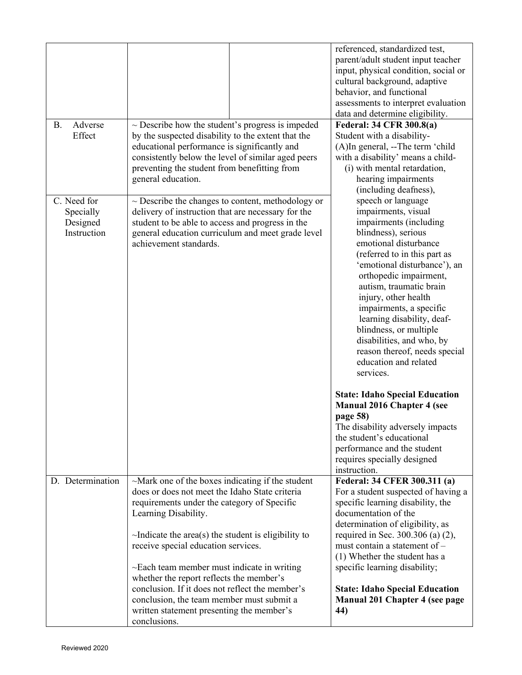| Adverse<br><b>B.</b><br>Effect                      | $\sim$ Describe how the student's progress is impeded<br>by the suspected disability to the extent that the<br>educational performance is significantly and<br>consistently below the level of similar aged peers<br>preventing the student from benefitting from<br>general education.                                                                                                                                                                                                                                                          | referenced, standardized test,<br>parent/adult student input teacher<br>input, physical condition, social or<br>cultural background, adaptive<br>behavior, and functional<br>assessments to interpret evaluation<br>data and determine eligibility.<br><b>Federal: 34 CFR 300.8(a)</b><br>Student with a disability-<br>(A)In general, --The term 'child<br>with a disability' means a child-<br>(i) with mental retardation,<br>hearing impairments                             |
|-----------------------------------------------------|--------------------------------------------------------------------------------------------------------------------------------------------------------------------------------------------------------------------------------------------------------------------------------------------------------------------------------------------------------------------------------------------------------------------------------------------------------------------------------------------------------------------------------------------------|----------------------------------------------------------------------------------------------------------------------------------------------------------------------------------------------------------------------------------------------------------------------------------------------------------------------------------------------------------------------------------------------------------------------------------------------------------------------------------|
| C. Need for<br>Specially<br>Designed<br>Instruction | $\sim$ Describe the changes to content, methodology or<br>delivery of instruction that are necessary for the<br>student to be able to access and progress in the<br>general education curriculum and meet grade level<br>achievement standards.                                                                                                                                                                                                                                                                                                  | (including deafness),<br>speech or language<br>impairments, visual<br>impairments (including<br>blindness), serious<br>emotional disturbance<br>(referred to in this part as<br>'emotional disturbance'), an<br>orthopedic impairment,<br>autism, traumatic brain<br>injury, other health<br>impairments, a specific<br>learning disability, deaf-<br>blindness, or multiple<br>disabilities, and who, by<br>reason thereof, needs special<br>education and related<br>services. |
|                                                     |                                                                                                                                                                                                                                                                                                                                                                                                                                                                                                                                                  | <b>State: Idaho Special Education</b><br><b>Manual 2016 Chapter 4 (see</b><br>page 58)<br>The disability adversely impacts<br>the student's educational<br>performance and the student<br>requires specially designed<br>instruction.                                                                                                                                                                                                                                            |
| D. Determination                                    | $\sim$ Mark one of the boxes indicating if the student<br>does or does not meet the Idaho State criteria<br>requirements under the category of Specific<br>Learning Disability.<br>$\sim$ Indicate the area(s) the student is eligibility to<br>receive special education services.<br>$\sim$ Each team member must indicate in writing<br>whether the report reflects the member's<br>conclusion. If it does not reflect the member's<br>conclusion, the team member must submit a<br>written statement presenting the member's<br>conclusions. | Federal: 34 CFER 300.311 (a)<br>For a student suspected of having a<br>specific learning disability, the<br>documentation of the<br>determination of eligibility, as<br>required in Sec. 300.306 (a) (2),<br>must contain a statement of $-$<br>(1) Whether the student has a<br>specific learning disability;<br><b>State: Idaho Special Education</b><br><b>Manual 201 Chapter 4 (see page</b><br>44)                                                                          |